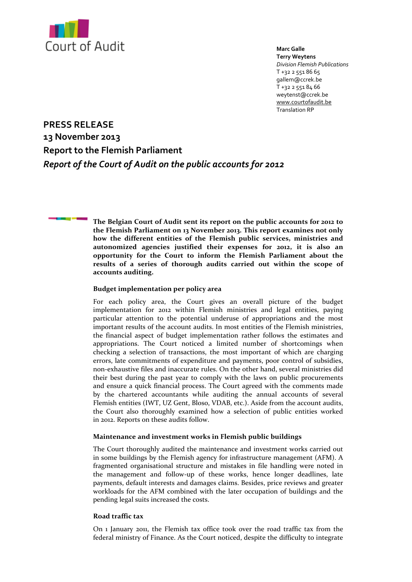

**Marc Galle Terry Weytens** *Division Flemish Publications* T +32 2 551 86 65 gallem@ccrek.be T +32 2 551 84 66 weytenst@ccrek.be [www.courtofaudit.be](http://www.courdescomptes.be/) Translation RP

**PRESS RELEASE 13 November 2013 Report to the Flemish Parliament**  *Report of the Court of Audit on the public accounts for 2012*

> **The Belgian Court of Audit sent its report on the public accounts for 2012 to the Flemish Parliament on 13 November 2013. This report examines not only how the different entities of the Flemish public services, ministries and autonomized agencies justified their expenses for 2012, it is also an opportunity for the Court to inform the Flemish Parliament about the results of a series of thorough audits carried out within the scope of accounts auditing.**

# **Budget implementation per policy area**

For each policy area, the Court gives an overall picture of the budget implementation for 2012 within Flemish ministries and legal entities, paying particular attention to the potential underuse of appropriations and the most important results of the account audits. In most entities of the Flemish ministries, the financial aspect of budget implementation rather follows the estimates and appropriations. The Court noticed a limited number of shortcomings when checking a selection of transactions, the most important of which are charging errors, late commitments of expenditure and payments, poor control of subsidies, non-exhaustive files and inaccurate rules. On the other hand, several ministries did their best during the past year to comply with the laws on public procurements and ensure a quick financial process. The Court agreed with the comments made by the chartered accountants while auditing the annual accounts of several Flemish entities (IWT, UZ Gent, Bloso, VDAB, etc.). Aside from the account audits, the Court also thoroughly examined how a selection of public entities worked in 2012. Reports on these audits follow.

## **Maintenance and investment works in Flemish public buildings**

The Court thoroughly audited the maintenance and investment works carried out in some buildings by the Flemish agency for infrastructure management (AFM). A fragmented organisational structure and mistakes in file handling were noted in the management and follow-up of these works, hence longer deadlines, late payments, default interests and damages claims. Besides, price reviews and greater workloads for the AFM combined with the later occupation of buildings and the pending legal suits increased the costs.

# **Road traffic tax**

On 1 January 2011, the Flemish tax office took over the road traffic tax from the federal ministry of Finance. As the Court noticed, despite the difficulty to integrate